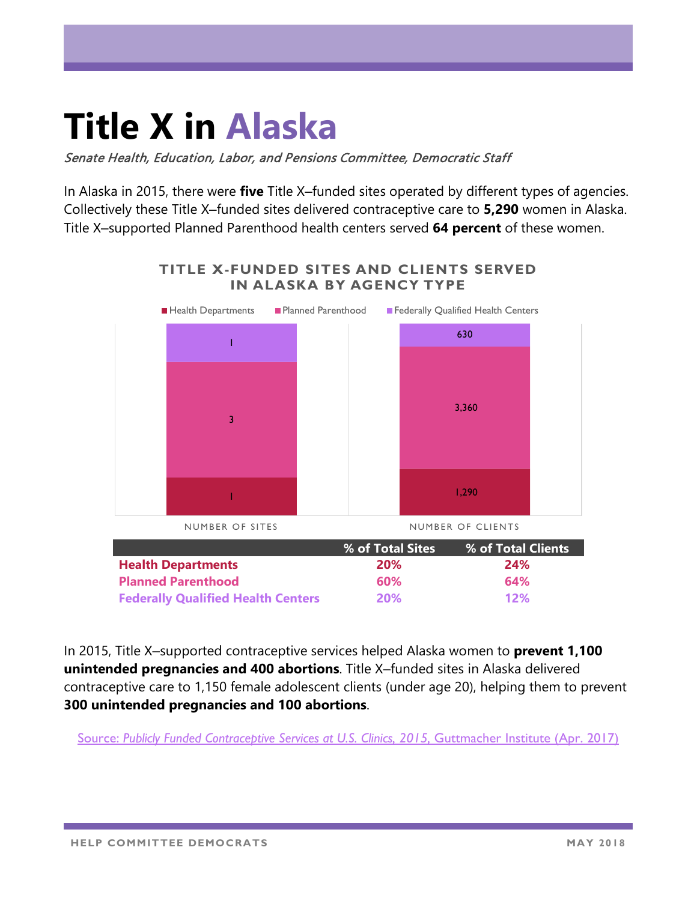## **Title X in Alaska**

Senate Health, Education, Labor, and Pensions Committee, Democratic Staff

In Alaska in 2015, there were **five** Title X–funded sites operated by different types of agencies. Collectively these Title X‒funded sites delivered contraceptive care to **5,290** women in Alaska. Title X‒supported Planned Parenthood health centers served **64 percent** of these women.



In 2015, Title X-supported contraceptive services helped Alaska women to **prevent 1,100 unintended pregnancies and 400 abortions**. Title X-funded sites in Alaska delivered contraceptive care to 1,150 female adolescent clients (under age 20), helping them to prevent **300 unintended pregnancies and 100 abortions**.

Source: [Publicly Funded Contraceptive Services at U.S. Clinics, 2015,](https://www.guttmacher.org/report/publicly-funded-contraceptive-services-us-clinics-2015) Guttmacher Institute (Apr. 2017)